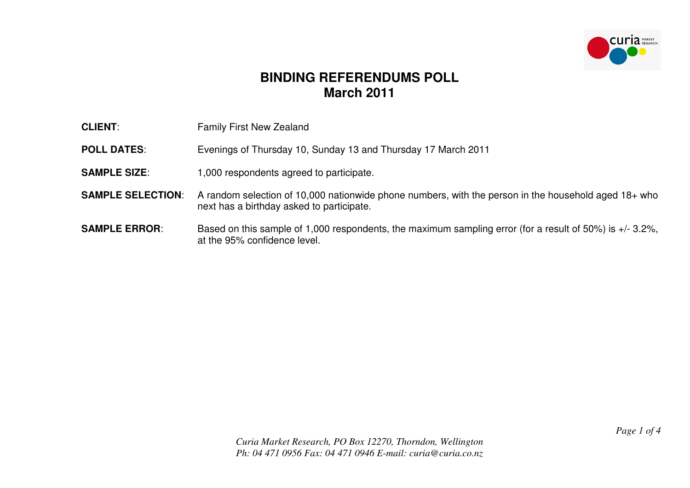

## **BINDING REFERENDUMS POLL March 2011**

| <b>CLIENT:</b>           | <b>Family First New Zealand</b>                                                                                                                     |
|--------------------------|-----------------------------------------------------------------------------------------------------------------------------------------------------|
| <b>POLL DATES:</b>       | Evenings of Thursday 10, Sunday 13 and Thursday 17 March 2011                                                                                       |
| <b>SAMPLE SIZE:</b>      | 1,000 respondents agreed to participate.                                                                                                            |
| <b>SAMPLE SELECTION:</b> | A random selection of 10,000 nationwide phone numbers, with the person in the household aged $18+$ who<br>next has a birthday asked to participate. |
| <b>SAMPLE ERROR:</b>     | Based on this sample of 1,000 respondents, the maximum sampling error (for a result of 50%) is $+/- 3.2\%$ ,<br>at the 95% confidence level.        |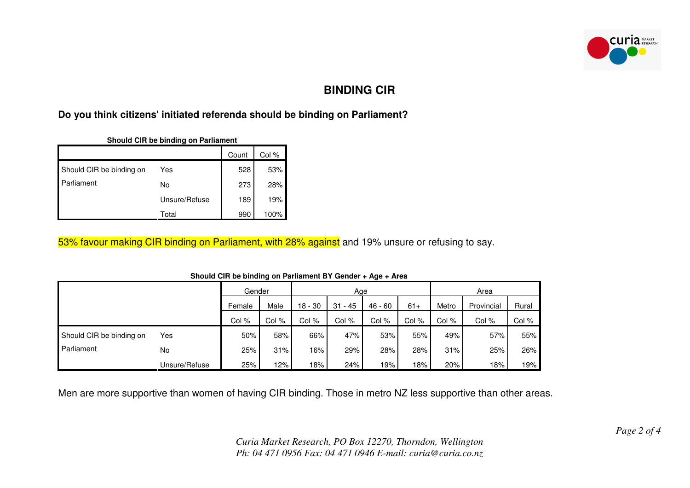

## **BINDING CIR**

## **Do you think citizens' initiated referenda should be binding on Parliament?**

|                          |               | Count | Col % |
|--------------------------|---------------|-------|-------|
| Should CIR be binding on | Yes           | 528   | 53%   |
| Parliament<br>No         |               | 273   | 28%   |
|                          | Unsure/Refuse | 189   | 19%   |
|                          | Total         | 990   | 100%  |

53% favour making CIR binding on Parliament, with 28% against and 19% unsure or refusing to say.

|                          |               | Gender |       | Age       |            |           | Area  |       |            |       |
|--------------------------|---------------|--------|-------|-----------|------------|-----------|-------|-------|------------|-------|
|                          |               | Female | Male  | $18 - 30$ | - 45<br>31 | $46 - 60$ | $61+$ | Metro | Provincial | Rural |
|                          |               | Col %  | Col % | Col %     | Col %      | Col %     | Col % | Col % | Col %      | Col % |
| Should CIR be binding on | Yes           | 50%    | 58%   | 66%       | 47%        | 53%       | 55%   | 49%   | 57%        | 55%   |
| Parliament               | <b>No</b>     | 25%    | 31%   | 16%       | 29%        | 28%       | 28%   | 31%   | 25%        | 26%   |
|                          | Unsure/Refuse | 25%    | 12%   | 18%       | 24%        | 19%       | 18%   | 20%   | 18%        | 19%   |

**Should CIR be binding on Parliament BY Gender + Age + Area**

Men are more supportive than women of having CIR binding. Those in metro NZ less supportive than other areas.

*Curia Market Research, PO Box 12270, Thorndon, Wellington Ph: 04 471 0956 Fax: 04 471 0946 E-mail: curia@curia.co.nz*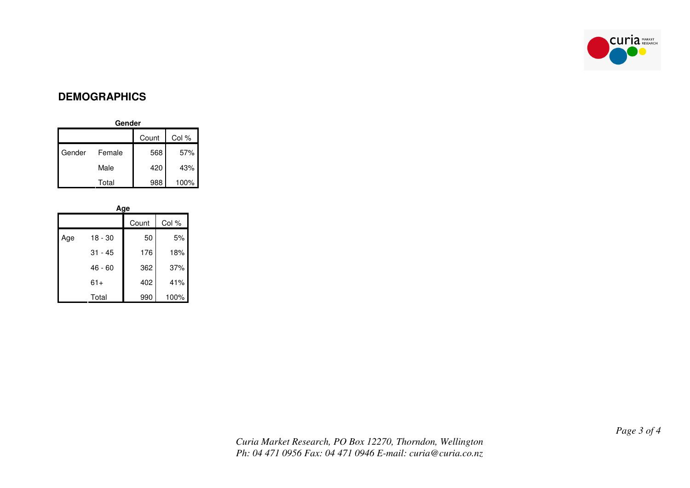

## **DEMOGRAPHICS**

| Gender         |        |     |      |  |  |
|----------------|--------|-----|------|--|--|
| Col %<br>Count |        |     |      |  |  |
| Gender         | Female | 568 | 57%  |  |  |
|                | Male   | 420 | 43%  |  |  |
|                | Total  | 988 | 100% |  |  |

| Age |           |       |       |  |  |
|-----|-----------|-------|-------|--|--|
|     |           | Count | Col % |  |  |
| Age | 18 - 30   | 50    | 5%    |  |  |
|     | 31 - 45   | 176   | 18%   |  |  |
|     | $46 - 60$ | 362   | 37%   |  |  |
|     | $61+$     | 402   | 41%   |  |  |
|     | Total     | 990   | 100%  |  |  |